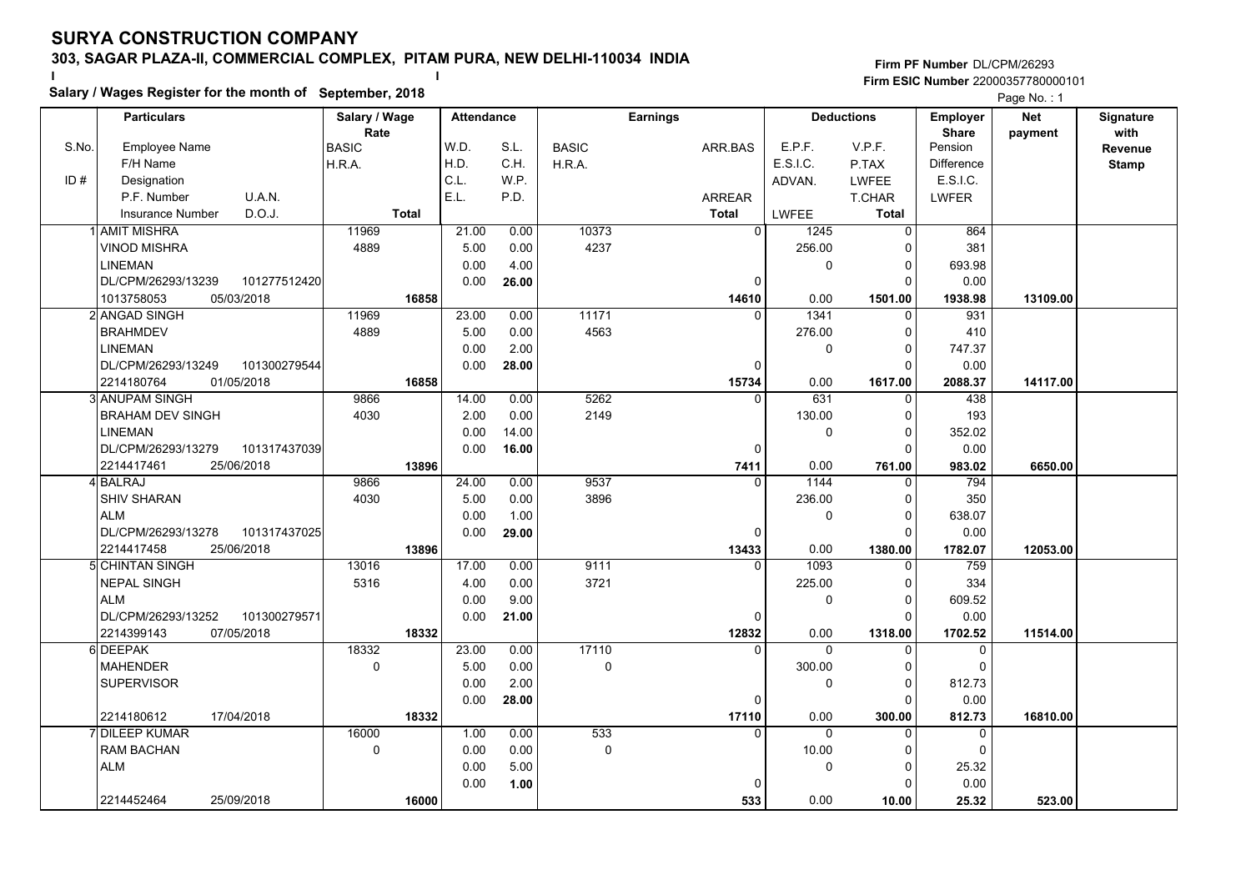**Salary / Wages Register for the month of September, 2018 <sup>I</sup> <sup>I</sup>**

|       | Salary / wages Register for the month of September, 2018 |               |       |                   | Page No.: 1  |                 |                      |              |                   |            |              |
|-------|----------------------------------------------------------|---------------|-------|-------------------|--------------|-----------------|----------------------|--------------|-------------------|------------|--------------|
|       | <b>Particulars</b>                                       | Salary / Wage |       | <b>Attendance</b> |              | <b>Earnings</b> | <b>Deductions</b>    |              | <b>Employer</b>   | <b>Net</b> | Signature    |
|       |                                                          | Rate          |       |                   |              |                 |                      |              | <b>Share</b>      | payment    | with         |
| S.No. | <b>Employee Name</b>                                     | <b>BASIC</b>  | W.D.  | S.L.              | <b>BASIC</b> | ARR.BAS         | E.P.F.               | V.P.F.       | Pension           |            | Revenue      |
|       | F/H Name                                                 | H.R.A.        | H.D.  | C.H.              | H.R.A.       |                 | E.S.I.C.             | P.TAX        | <b>Difference</b> |            | <b>Stamp</b> |
| ID#   | Designation                                              |               | C.L.  | W.P.              |              |                 | ADVAN.               | <b>LWFEE</b> | E.S.I.C.          |            |              |
|       | U.A.N.<br>P.F. Number                                    |               | E.L.  | P.D.              |              | <b>ARREAR</b>   |                      | T.CHAR       | <b>LWFER</b>      |            |              |
|       | D.O.J.<br>Insurance Number                               | <b>Total</b>  |       |                   |              | <b>Total</b>    | <b>LWFEE</b>         | <b>Total</b> |                   |            |              |
|       | <b>AMIT MISHRA</b>                                       | 11969         | 21.00 | 0.00              | 10373        |                 | $\Omega$<br>1245     | $\Omega$     | 864               |            |              |
|       | <b>VINOD MISHRA</b>                                      | 4889          | 5.00  | 0.00              | 4237         |                 | 256.00               | $\Omega$     | 381               |            |              |
|       | <b>LINEMAN</b>                                           |               | 0.00  | 4.00              |              |                 | 0                    | $\Omega$     | 693.98            |            |              |
|       | DL/CPM/26293/13239<br>101277512420                       |               | 0.00  | 26.00             |              |                 | 0                    | $\Omega$     | 0.00              |            |              |
|       | 1013758053<br>05/03/2018                                 | 16858         |       |                   |              | 14610           | 0.00                 | 1501.00      | 1938.98           | 13109.00   |              |
|       | 2 ANGAD SINGH                                            | 11969         | 23.00 | 0.00              | 11171        |                 | 1341<br>$\Omega$     | $\Omega$     | 931               |            |              |
|       | <b>BRAHMDEV</b>                                          | 4889          | 5.00  | 0.00              | 4563         |                 | 276.00               | 0            | 410               |            |              |
|       | <b>LINEMAN</b>                                           |               | 0.00  | 2.00              |              |                 | 0                    | n            | 747.37            |            |              |
|       | DL/CPM/26293/13249<br>101300279544                       |               | 0.00  | 28.00             |              |                 | 0                    | 0            | 0.00              |            |              |
|       | 2214180764<br>01/05/2018                                 | 16858         |       |                   |              | 15734           | 0.00                 | 1617.00      | 2088.37           | 14117.00   |              |
|       | 3 ANUPAM SINGH                                           | 9866          | 14.00 | 0.00              | 5262         |                 | 631<br>$\Omega$      | 0            | 438               |            |              |
|       | <b>BRAHAM DEV SINGH</b>                                  | 4030          | 2.00  | 0.00              | 2149         |                 | 130.00               | 0            | 193               |            |              |
|       | <b>LINEMAN</b>                                           |               | 0.00  | 14.00             |              |                 | 0                    | $\Omega$     | 352.02            |            |              |
|       | DL/CPM/26293/13279<br>101317437039                       |               | 0.00  | 16.00             |              |                 | 0                    | $\Omega$     | 0.00              |            |              |
|       | 2214417461<br>25/06/2018                                 | 13896         |       |                   |              | 7411            | 0.00                 | 761.00       | 983.02            | 6650.00    |              |
|       | 4 BALRAJ                                                 | 9866          | 24.00 | 0.00              | 9537         |                 | 1144<br>$\Omega$     | $\Omega$     | 794               |            |              |
|       | <b>SHIV SHARAN</b>                                       | 4030          | 5.00  | 0.00              | 3896         |                 | 236.00               | $\Omega$     | 350               |            |              |
|       | <b>ALM</b>                                               |               | 0.00  | 1.00              |              |                 | 0                    | 0            | 638.07            |            |              |
|       | DL/CPM/26293/13278<br>101317437025                       |               | 0.00  | 29.00             |              |                 | $\Omega$             | $\Omega$     | 0.00              |            |              |
|       | 2214417458<br>25/06/2018                                 | 13896         |       |                   |              | 13433           | 0.00                 | 1380.00      | 1782.07           | 12053.00   |              |
|       | 5 CHINTAN SINGH                                          | 13016         | 17.00 | 0.00              | 9111         |                 | 1093<br>$\Omega$     | 0            | 759               |            |              |
|       | <b>NEPAL SINGH</b>                                       | 5316          | 4.00  | 0.00              | 3721         |                 | 225.00               | 0            | 334               |            |              |
|       | <b>ALM</b>                                               |               | 0.00  | 9.00              |              |                 | 0                    | $\Omega$     | 609.52            |            |              |
|       | DL/CPM/26293/13252<br>101300279571                       |               | 0.00  | 21.00             |              |                 | 0                    | n            | 0.00              |            |              |
|       | 07/05/2018<br>2214399143                                 | 18332         |       |                   |              | 12832           | 0.00                 | 1318.00      | 1702.52           | 11514.00   |              |
|       | 6 DEEPAK                                                 | 18332         | 23.00 | 0.00              | 17110        |                 | 0<br>$\mathbf{0}$    | 0            | $\mathbf 0$       |            |              |
|       | <b>MAHENDER</b>                                          | 0             | 5.00  | 0.00              | 0            |                 | 300.00               | $\Omega$     | $\Omega$          |            |              |
|       | <b>SUPERVISOR</b>                                        |               | 0.00  | 2.00              |              |                 | 0                    | $\Omega$     | 812.73            |            |              |
|       |                                                          |               | 0.00  | 28.00             |              |                 | 0                    | O            | 0.00              |            |              |
|       | 17/04/2018<br>2214180612                                 | 18332         |       |                   |              | 17110           | 0.00                 | 300.00       | 812.73            | 16810.00   |              |
|       | 7 DILEEP KUMAR                                           | 16000         | 1.00  | 0.00              | 533          |                 | $\Omega$<br>$\Omega$ | $\Omega$     | $\Omega$          |            |              |
|       | <b>RAM BACHAN</b>                                        | $\mathbf 0$   | 0.00  | 0.00              | $\mathbf 0$  |                 | 10.00                | O            | $\mathbf 0$       |            |              |
|       | <b>ALM</b>                                               |               | 0.00  | 5.00              |              |                 | 0                    | $\Omega$     | 25.32             |            |              |
|       |                                                          |               | 0.00  | 1.00              |              |                 |                      |              | 0.00              |            |              |
|       | 2214452464<br>25/09/2018                                 | 16000         |       |                   |              | 533             | 0.00                 | 10.00        | 25.32             | 523.00     |              |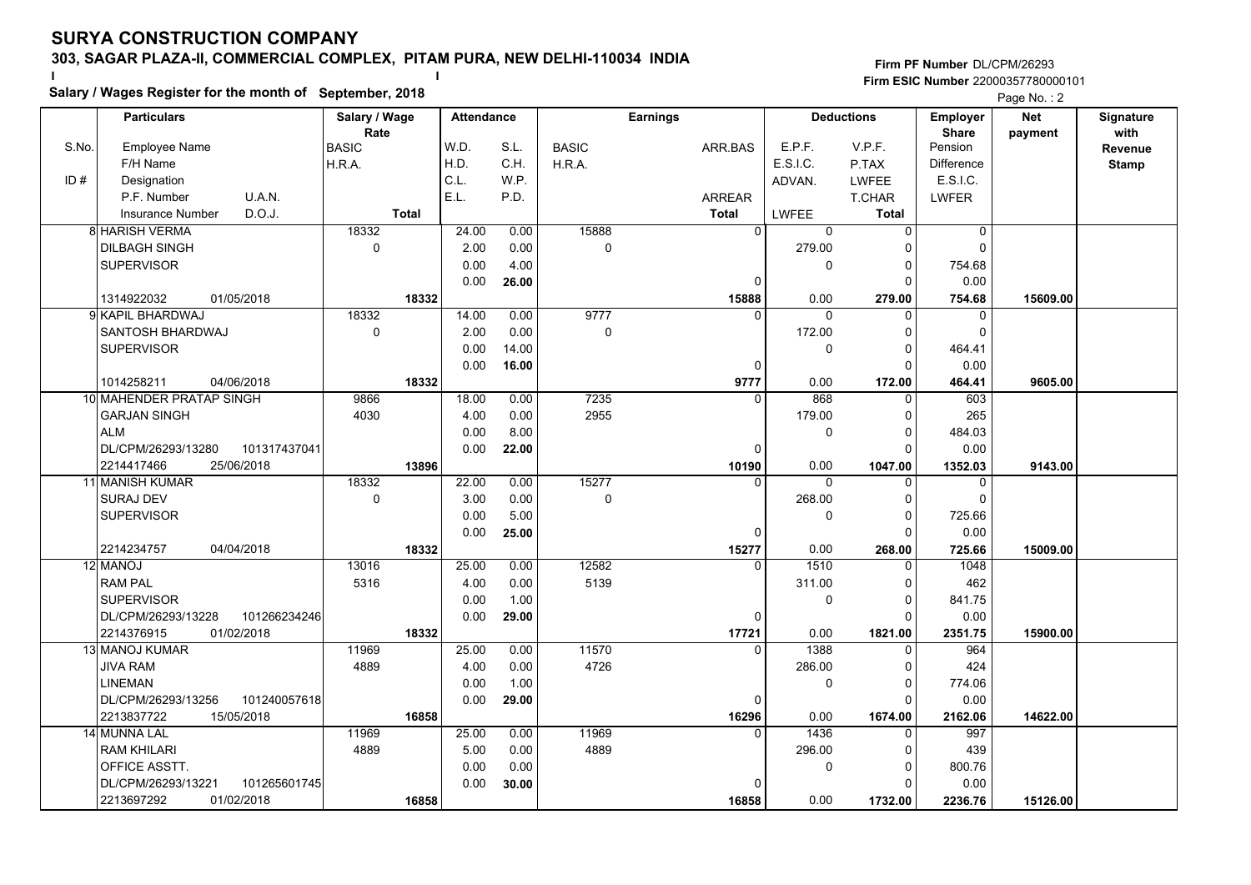**Salary / Wages Register for the month of September, 2018 <sup>I</sup> <sup>I</sup>**

|       | Salary / Wages Register for the month of September, 2018 |                |               | Page No.: 2       |              |                   |                    |                      |                            |            |              |
|-------|----------------------------------------------------------|----------------|---------------|-------------------|--------------|-------------------|--------------------|----------------------|----------------------------|------------|--------------|
|       | <b>Particulars</b>                                       | Salary / Wage  |               | <b>Attendance</b> |              | <b>Earnings</b>   |                    | <b>Deductions</b>    | Employer                   | <b>Net</b> | Signature    |
|       |                                                          | Rate           |               |                   |              |                   |                    |                      | <b>Share</b>               | payment    | with         |
| S.No. | <b>Employee Name</b>                                     | <b>BASIC</b>   | W.D.          | S.L.              | <b>BASIC</b> | ARR.BAS           | E.P.F.             | V.P.F.               | Pension                    |            | Revenue      |
|       | F/H Name                                                 | H.R.A.         | H.D.          | C.H.              | H.R.A.       |                   | E.S.I.C.           | P.TAX                | <b>Difference</b>          |            | <b>Stamp</b> |
| ID#   | Designation                                              |                | C.L.          | W.P.              |              |                   | ADVAN.             | <b>LWFEE</b>         | E.S.I.C.                   |            |              |
|       | P.F. Number<br>U.A.N.                                    |                | E.L.          | P.D.              |              | <b>ARREAR</b>     |                    | T.CHAR               | <b>LWFER</b>               |            |              |
|       | D.O.J.<br><b>Insurance Number</b>                        | <b>Total</b>   |               |                   |              | Total             | <b>LWFEE</b>       | <b>Total</b>         |                            |            |              |
|       | 8 HARISH VERMA                                           | 18332          | 24.00         | 0.00              | 15888        | $\overline{0}$    | 0                  | $\Omega$             | $\overline{0}$             |            |              |
|       | <b>DILBAGH SINGH</b>                                     | $\mathbf 0$    | 2.00          | 0.00              | 0            |                   | 279.00             | O                    | $\Omega$                   |            |              |
|       | <b>SUPERVISOR</b>                                        |                | 0.00          | 4.00              |              |                   | 0                  | $\Omega$<br>$\Omega$ | 754.68                     |            |              |
|       |                                                          |                | 0.00          | 26.00             |              | $\Omega$          |                    |                      | 0.00                       |            |              |
|       | 1314922032<br>01/05/2018                                 | 18332<br>18332 |               |                   | 9777         | 15888<br>$\Omega$ | 0.00               | 279.00               | 754.68                     | 15609.00   |              |
|       | 9İ KAPIL BHARDWAJ<br><b>SANTOSH BHARDWAJ</b>             | $\mathbf 0$    | 14.00<br>2.00 | 0.00<br>0.00      | $\mathbf 0$  |                   | $\Omega$<br>172.00 | $\Omega$<br>O        | $\mathbf 0$<br>$\mathbf 0$ |            |              |
|       | <b>SUPERVISOR</b>                                        |                | 0.00          | 14.00             |              |                   | 0                  | $\Omega$             | 464.41                     |            |              |
|       |                                                          |                | 0.00          | 16.00             |              | 0                 |                    | ŋ                    | 0.00                       |            |              |
|       | 1014258211<br>04/06/2018                                 | 18332          |               |                   |              | 9777              | 0.00               | 172.00               | 464.41                     | 9605.00    |              |
|       | 10 MAHENDER PRATAP SINGH                                 | 9866           | 18.00         | 0.00              | 7235         | $\Omega$          | 868                | $\mathbf{0}$         | 603                        |            |              |
|       | <b>GARJAN SINGH</b>                                      | 4030           | 4.00          | 0.00              | 2955         |                   | 179.00             | $\Omega$             | 265                        |            |              |
|       | <b>ALM</b>                                               |                | 0.00          | 8.00              |              |                   | 0                  | ŋ                    | 484.03                     |            |              |
|       | DL/CPM/26293/13280<br>101317437041                       |                | 0.00          | 22.00             |              | $\Omega$          |                    | ∩                    | 0.00                       |            |              |
|       | 2214417466<br>25/06/2018                                 | 13896          |               |                   |              | 10190             | 0.00               | 1047.00              | 1352.03                    | 9143.00    |              |
|       | 11 MANISH KUMAR                                          | 18332          | 22.00         | 0.00              | 15277        | $\Omega$          | $\Omega$           | 0                    | $\Omega$                   |            |              |
|       | <b>SURAJ DEV</b>                                         | $\mathbf 0$    | 3.00          | 0.00              | $\Omega$     |                   | 268.00             | $\Omega$             | $\Omega$                   |            |              |
|       | <b>SUPERVISOR</b>                                        |                | 0.00          | 5.00              |              |                   | 0                  | $\mathbf{0}$         | 725.66                     |            |              |
|       |                                                          |                | 0.00          | 25.00             |              | 0                 |                    | $\Omega$             | 0.00                       |            |              |
|       | 2214234757<br>04/04/2018                                 | 18332          |               |                   |              | 15277             | 0.00               | 268.00               | 725.66                     | 15009.00   |              |
|       | 12 MANOJ                                                 | 13016          | 25.00         | 0.00              | 12582        | 0                 | 1510               | $\Omega$             | 1048                       |            |              |
|       | <b>RAM PAL</b>                                           | 5316           | 4.00          | 0.00              | 5139         |                   | 311.00             | 0                    | 462                        |            |              |
|       | <b>SUPERVISOR</b>                                        |                | 0.00          | 1.00              |              |                   | 0                  | O                    | 841.75                     |            |              |
|       | 101266234246<br>DL/CPM/26293/13228                       |                | 0.00          | 29.00             |              | $\Omega$          |                    | $\Omega$             | 0.00                       |            |              |
|       | 2214376915<br>01/02/2018                                 | 18332          |               |                   |              | 17721             | 0.00               | 1821.00              | 2351.75                    | 15900.00   |              |
|       | 13 MANOJ KUMAR                                           | 11969          | 25.00         | 0.00              | 11570        | 0                 | 1388               | 0                    | 964                        |            |              |
|       | JIVA RAM                                                 | 4889           | 4.00          | 0.00              | 4726         |                   | 286.00             | $\Omega$             | 424                        |            |              |
|       | <b>LINEMAN</b>                                           |                | 0.00          | 1.00              |              |                   | 0                  | $\Omega$             | 774.06                     |            |              |
|       | DL/CPM/26293/13256<br>101240057618                       |                | 0.00          | 29.00             |              | $\Omega$          |                    | $\Omega$             | 0.00                       |            |              |
|       | 2213837722<br>15/05/2018                                 | 16858          |               |                   |              | 16296             | 0.00               | 1674.00              | 2162.06                    | 14622.00   |              |
|       | 14 MUNNA LAL                                             | 11969          | 25.00         | 0.00              | 11969        | $\Omega$          | 1436               |                      | 997                        |            |              |
|       | <b>RAM KHILARI</b>                                       | 4889           | 5.00          | 0.00              | 4889         |                   | 296.00             | $\Omega$             | 439                        |            |              |
|       | OFFICE ASSTT.                                            |                | 0.00          | 0.00              |              |                   | 0                  | 0                    | 800.76                     |            |              |
|       | 101265601745<br>DL/CPM/26293/13221                       |                | 0.00          | 30.00             |              |                   |                    |                      | 0.00                       |            |              |
|       | 01/02/2018<br>2213697292                                 | 16858          |               |                   |              | 16858             | 0.00               | 1732.00              | 2236.76                    | 15126.00   |              |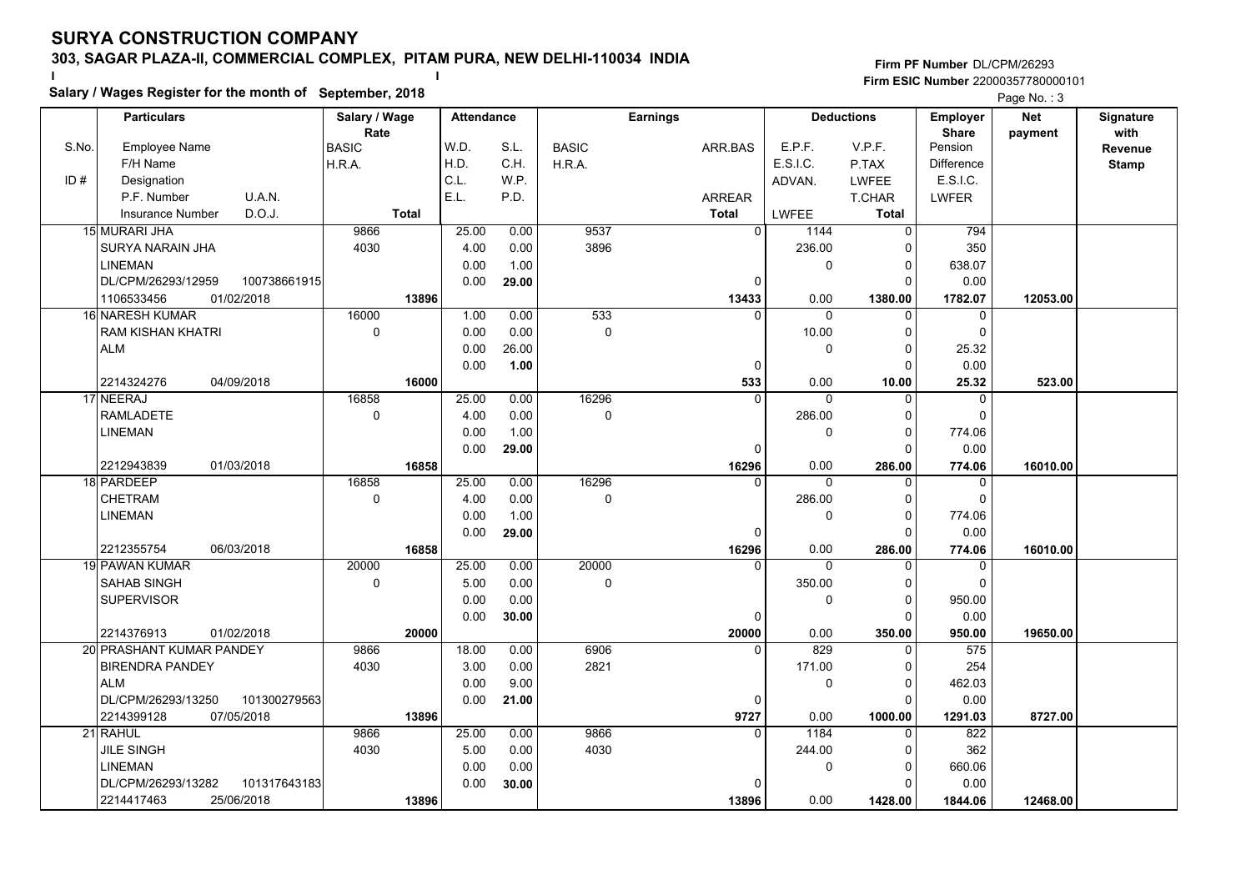**Salary / Wages Register for the month of September, 2018 <sup>I</sup> <sup>I</sup>**

|       | Salary / Wages Register for the month of September, 2018 |               | Page No.: 3       |       |              |                 |                   |              |                   |            |              |
|-------|----------------------------------------------------------|---------------|-------------------|-------|--------------|-----------------|-------------------|--------------|-------------------|------------|--------------|
|       | <b>Particulars</b>                                       | Salary / Wage | <b>Attendance</b> |       |              | <b>Earnings</b> | <b>Deductions</b> |              | Employer          | <b>Net</b> | Signature    |
|       |                                                          | Rate          |                   |       |              |                 |                   |              | <b>Share</b>      | payment    | with         |
| S.No. | <b>Employee Name</b>                                     | <b>BASIC</b>  | W.D.              | S.L.  | <b>BASIC</b> | ARR.BAS         | E.P.F.            | V.P.F.       | Pension           |            | Revenue      |
|       | F/H Name                                                 | H.R.A.        | H.D.              | C.H.  | H.R.A.       |                 | E.S.I.C.          | P.TAX        | <b>Difference</b> |            | <b>Stamp</b> |
| ID#   | Designation                                              |               | C.L.              | W.P.  |              |                 | ADVAN.            | <b>LWFEE</b> | E.S.I.C.          |            |              |
|       | P.F. Number<br>U.A.N.                                    |               | E.L.              | P.D.  |              | <b>ARREAR</b>   |                   | T.CHAR       | <b>LWFER</b>      |            |              |
|       | D.O.J.<br><b>Insurance Number</b>                        | <b>Total</b>  |                   |       |              | <b>Total</b>    | <b>LWFEE</b>      | <b>Total</b> |                   |            |              |
|       | 15 MURARI JHA                                            | 9866          | 25.00             | 0.00  | 9537         | $\overline{0}$  | 1144              | 0            | 794               |            |              |
|       | SURYA NARAIN JHA                                         | 4030          | 4.00              | 0.00  | 3896         |                 | 236.00            | $\Omega$     | 350               |            |              |
|       | <b>LINEMAN</b>                                           |               | 0.00              | 1.00  |              |                 | 0                 | $\Omega$     | 638.07            |            |              |
|       | DL/CPM/26293/12959<br>100738661915                       |               | 0.00              | 29.00 |              | $\Omega$        |                   | $\Omega$     | 0.00              |            |              |
|       | 1106533456<br>01/02/2018                                 | 13896         |                   |       |              | 13433           | 0.00              | 1380.00      | 1782.07           | 12053.00   |              |
|       | 16 NARESH KUMAR                                          | 16000         | 1.00              | 0.00  | 533          |                 | $\Omega$          | $\Omega$     | $\mathbf 0$       |            |              |
|       | <b>RAM KISHAN KHATRI</b>                                 | $\mathbf 0$   | 0.00              | 0.00  | $\mathbf 0$  |                 | 10.00             | $\Omega$     | $\mathbf 0$       |            |              |
|       | <b>ALM</b>                                               |               | 0.00              | 26.00 |              |                 | 0                 | $\Omega$     | 25.32             |            |              |
|       |                                                          |               | 0.00              | 1.00  |              | 0               |                   | ŋ            | 0.00              |            |              |
|       | 2214324276<br>04/09/2018                                 | 16000         |                   |       |              | 533             | 0.00              | 10.00        | 25.32             | 523.00     |              |
|       | 17 NEERAJ                                                | 16858         | 25.00             | 0.00  | 16296        | $\Omega$        | $\Omega$          | $\mathbf{0}$ | $\mathbf 0$       |            |              |
|       | <b>RAMLADETE</b>                                         | $\mathsf 0$   | 4.00              | 0.00  | 0            |                 | 286.00            | $\Omega$     | $\Omega$          |            |              |
|       | LINEMAN                                                  |               | 0.00              | 1.00  |              |                 | 0                 | $\Omega$     | 774.06            |            |              |
|       |                                                          |               | 0.00              | 29.00 |              | $\Omega$        |                   | ŋ            | 0.00              |            |              |
|       | 2212943839<br>01/03/2018                                 | 16858         |                   |       |              | 16296           | 0.00              | 286.00       | 774.06            | 16010.00   |              |
|       | 18 PARDEEP                                               | 16858         | 25.00             | 0.00  | 16296        | $\Omega$        | $\Omega$          | $\Omega$     | $\Omega$          |            |              |
|       | <b>CHETRAM</b>                                           | $\mathbf 0$   | 4.00              | 0.00  | $\Omega$     |                 | 286.00            | $\Omega$     | $\Omega$          |            |              |
|       | LINEMAN                                                  |               | 0.00              | 1.00  |              |                 | 0                 | $\Omega$     | 774.06            |            |              |
|       |                                                          |               | 0.00              | 29.00 |              | 0               |                   | $\Omega$     | 0.00              |            |              |
|       | 06/03/2018<br>2212355754                                 | 16858         |                   |       |              | 16296           | 0.00              | 286.00       | 774.06            | 16010.00   |              |
|       | 19 PAWAN KUMAR                                           | 20000         | 25.00             | 0.00  | 20000        |                 | $\Omega$          | $\Omega$     | $\Omega$          |            |              |
|       | <b>SAHAB SINGH</b>                                       | $\mathsf 0$   | 5.00              | 0.00  | 0            |                 | 350.00            | $\Omega$     | $\mathbf 0$       |            |              |
|       | <b>SUPERVISOR</b>                                        |               | 0.00              | 0.00  |              |                 | 0                 | $\Omega$     | 950.00            |            |              |
|       |                                                          |               | 0.00              | 30.00 |              | 0               |                   | $\Omega$     | 0.00              |            |              |
|       | 2214376913<br>01/02/2018                                 | 20000         |                   |       |              | 20000           | 0.00              | 350.00       | 950.00            | 19650.00   |              |
|       | 20 PRASHANT KUMAR PANDEY                                 | 9866          | 18.00             | 0.00  | 6906         | 0               | 829               | 0            | 575               |            |              |
|       | <b>BIRENDRA PANDEY</b>                                   | 4030          | 3.00              | 0.00  | 2821         |                 | 171.00            | $\Omega$     | 254               |            |              |
|       | <b>ALM</b>                                               |               | 0.00              | 9.00  |              |                 | 0                 | $\Omega$     | 462.03            |            |              |
|       | DL/CPM/26293/13250<br>101300279563                       |               | 0.00              | 21.00 |              | $\Omega$        |                   | $\Omega$     | 0.00              |            |              |
|       | 2214399128<br>07/05/2018                                 | 13896         |                   |       |              | 9727            | 0.00              | 1000.00      | 1291.03           | 8727.00    |              |
|       | 21 RAHUL                                                 | 9866          | 25.00             | 0.00  | 9866         | $\Omega$        | 1184              | 0            | 822               |            |              |
|       | JILE SINGH                                               | 4030          | 5.00              | 0.00  | 4030         |                 | 244.00            | $\Omega$     | 362               |            |              |
|       | LINEMAN                                                  |               | 0.00              | 0.00  |              |                 | 0                 | 0            | 660.06            |            |              |
|       | DL/CPM/26293/13282<br>101317643183                       |               | 0.00              | 30.00 |              |                 |                   |              | 0.00              |            |              |
|       | 2214417463<br>25/06/2018                                 | 13896         |                   |       |              | 13896           | 0.00              | 1428.00      | 1844.06           | 12468.00   |              |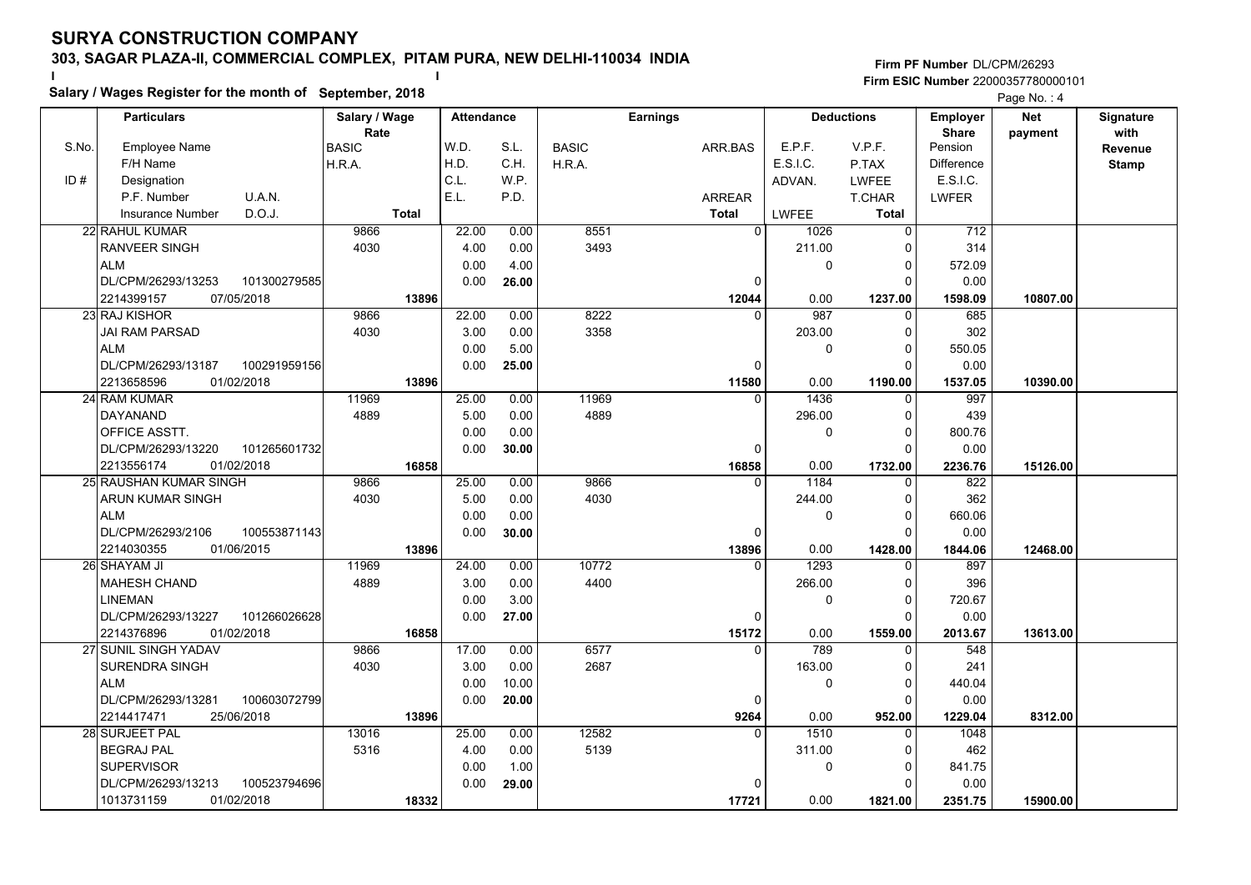**Salary / Wages Register for the month of September, 2018 <sup>I</sup> <sup>I</sup>**

|       | Salary / wages Register for the month of September, 2018 |               |       | Page No.: 4       |              |                 |                     |                   |                   |            |              |
|-------|----------------------------------------------------------|---------------|-------|-------------------|--------------|-----------------|---------------------|-------------------|-------------------|------------|--------------|
|       | <b>Particulars</b>                                       | Salary / Wage |       | <b>Attendance</b> |              | <b>Earnings</b> |                     | <b>Deductions</b> | <b>Employer</b>   | <b>Net</b> | Signature    |
|       |                                                          | Rate          |       |                   |              |                 |                     |                   | <b>Share</b>      | payment    | with         |
| S.No. | <b>Employee Name</b>                                     | <b>BASIC</b>  | W.D.  | S.L.              | <b>BASIC</b> | ARR.BAS         | E.P.F.              | V.P.F.            | Pension           |            | Revenue      |
|       | F/H Name                                                 | H.R.A.        | H.D.  | C.H.              | H.R.A.       |                 | E.S.I.C.            | P.TAX             | <b>Difference</b> |            | <b>Stamp</b> |
| ID#   | Designation                                              |               | C.L.  | W.P.              |              |                 | ADVAN.              | <b>LWFEE</b>      | E.S.I.C.          |            |              |
|       | P.F. Number<br>U.A.N.                                    |               | E.L.  | P.D.              |              | <b>ARREAR</b>   |                     | <b>T.CHAR</b>     | <b>LWFER</b>      |            |              |
|       | D.O.J.<br><b>Insurance Number</b>                        | <b>Total</b>  |       |                   |              | <b>Total</b>    | <b>LWFEE</b>        | <b>Total</b>      |                   |            |              |
|       | <b>22 RAHUL KUMAR</b>                                    | 9866          | 22.00 | 0.00              | 8551         |                 | $\Omega$<br>1026    | $\Omega$          | 712               |            |              |
|       | <b>RANVEER SINGH</b>                                     | 4030          | 4.00  | 0.00              | 3493         |                 | 211.00              | $\Omega$          | 314               |            |              |
|       | <b>ALM</b>                                               |               | 0.00  | 4.00              |              |                 | 0                   | 0                 | 572.09            |            |              |
|       | DL/CPM/26293/13253<br>101300279585                       |               | 0.00  | 26.00             |              |                 | $\Omega$            | $\Omega$          | 0.00              |            |              |
|       | 2214399157<br>07/05/2018                                 | 13896         |       |                   |              | 12044           | 0.00                | 1237.00           | 1598.09           | 10807.00   |              |
|       | 23 RAJ KISHOR                                            | 9866          | 22.00 | 0.00              | 8222         |                 | 987<br><sup>0</sup> | $\Omega$          | 685               |            |              |
|       | JAI RAM PARSAD                                           | 4030          | 3.00  | 0.00              | 3358         |                 | 203.00              | 0                 | 302               |            |              |
|       | <b>ALM</b>                                               |               | 0.00  | 5.00              |              |                 | 0                   | ŋ                 | 550.05            |            |              |
|       | DL/CPM/26293/13187<br>100291959156                       |               | 0.00  | 25.00             |              |                 | $\Omega$            | ŋ                 | 0.00              |            |              |
|       | 2213658596<br>01/02/2018                                 | 13896         |       |                   |              | 11580           | 0.00                | 1190.00           | 1537.05           | 10390.00   |              |
|       | 24 RAM KUMAR                                             | 11969         | 25.00 | 0.00              | 11969        |                 | 1436<br>$\Omega$    | $\Omega$          | 997               |            |              |
|       | DAYANAND                                                 | 4889          | 5.00  | 0.00              | 4889         |                 | 296.00              | 0                 | 439               |            |              |
|       | OFFICE ASSTT.                                            |               | 0.00  | 0.00              |              |                 | 0                   | $\Omega$          | 800.76            |            |              |
|       | DL/CPM/26293/13220<br>101265601732                       |               | 0.00  | 30.00             |              |                 | $\Omega$            | $\Omega$          | 0.00              |            |              |
|       | 2213556174<br>01/02/2018                                 | 16858         |       |                   |              | 16858           | 0.00                | 1732.00           | 2236.76           | 15126.00   |              |
|       | 25 RAUSHAN KUMAR SINGH                                   | 9866          | 25.00 | 0.00              | 9866         |                 | 1184<br>$\Omega$    | $\Omega$          | 822               |            |              |
|       | <b>ARUN KUMAR SINGH</b>                                  | 4030          | 5.00  | 0.00              | 4030         |                 | 244.00              | $\Omega$          | 362               |            |              |
|       | <b>ALM</b>                                               |               | 0.00  | 0.00              |              |                 | 0                   | $\Omega$          | 660.06            |            |              |
|       | DL/CPM/26293/2106<br>100553871143                        |               | 0.00  | 30.00             |              |                 | $\Omega$            | $\Omega$          | 0.00              |            |              |
|       | 2214030355<br>01/06/2015                                 | 13896         |       |                   |              | 13896           | 0.00                | 1428.00           | 1844.06           | 12468.00   |              |
|       | 26 SHAYAM JI                                             | 11969         | 24.00 | 0.00              | 10772        |                 | 1293<br>0           | 0                 | 897               |            |              |
|       | <b>MAHESH CHAND</b>                                      | 4889          | 3.00  | 0.00              | 4400         |                 | 266.00              | 0                 | 396               |            |              |
|       | LINEMAN                                                  |               | 0.00  | 3.00              |              |                 | 0                   | $\Omega$          | 720.67            |            |              |
|       | 101266026628<br>DL/CPM/26293/13227                       |               | 0.00  | 27.00             |              |                 | 0                   | $\Omega$          | 0.00              |            |              |
|       | 01/02/2018<br>2214376896                                 | 16858         |       |                   |              | 15172           | 0.00                | 1559.00           | 2013.67           | 13613.00   |              |
|       | 27 SUNIL SINGH YADAV                                     | 9866          | 17.00 | 0.00              | 6577         |                 | 789<br>$\Omega$     | 0                 | 548               |            |              |
|       | SURENDRA SINGH                                           | 4030          | 3.00  | 0.00              | 2687         |                 | 163.00              | $\Omega$          | 241               |            |              |
|       | <b>ALM</b>                                               |               | 0.00  | 10.00             |              |                 | 0                   | $\Omega$          | 440.04            |            |              |
|       | DL/CPM/26293/13281<br>100603072799                       |               | 0.00  | 20.00             |              |                 | $\Omega$            | $\Omega$          | 0.00              |            |              |
|       | 2214417471<br>25/06/2018                                 | 13896         |       |                   |              | 9264            | 0.00                | 952.00            | 1229.04           | 8312.00    |              |
|       | 28 SURJEET PAL                                           | 13016         | 25.00 | 0.00              | 12582        |                 | $\Omega$<br>1510    | $\Omega$          | 1048              |            |              |
|       | <b>BEGRAJ PAL</b>                                        | 5316          | 4.00  | 0.00              | 5139         |                 | 311.00              | O                 | 462               |            |              |
|       | <b>SUPERVISOR</b>                                        |               | 0.00  | 1.00              |              |                 | 0                   | 0                 | 841.75            |            |              |
|       | 100523794696<br>DL/CPM/26293/13213                       |               | 0.00  | 29.00             |              |                 |                     |                   | 0.00              |            |              |
|       | 1013731159<br>01/02/2018                                 | 18332         |       |                   |              | 17721           | 0.00                | 1821.00           | 2351.75           | 15900.00   |              |